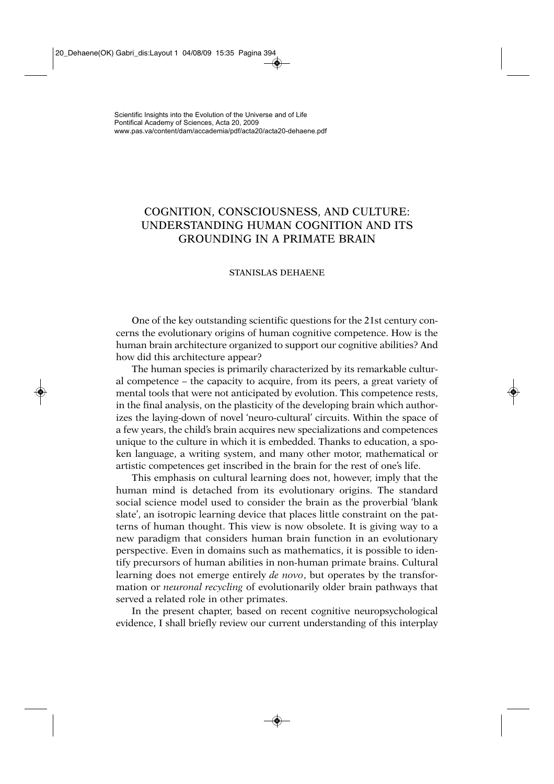# COGNITION, CONSCIOUSNESS, AND CULTURE: UNDERSTANDING HUMAN COGNITION AND ITS GROUNDING IN A PRIMATE BRAIN

## STANISLAS DEHAENE

One of the key outstanding scientific questions for the 21st century concerns the evolutionary origins of human cognitive competence. How is the human brain architecture organized to support our cognitive abilities? And how did this architecture appear?

The human species is primarily characterized by its remarkable cultural competence – the capacity to acquire, from its peers, a great variety of mental tools that were not anticipated by evolution. This competence rests, in the final analysis, on the plasticity of the developing brain which authorizes the laying-down of novel 'neuro-cultural' circuits. Within the space of a few years, the child's brain acquires new specializations and competences unique to the culture in which it is embedded. Thanks to education, a spoken language, a writing system, and many other motor, mathematical or artistic competences get inscribed in the brain for the rest of one's life.

This emphasis on cultural learning does not, however, imply that the human mind is detached from its evolutionary origins. The standard social science model used to consider the brain as the proverbial 'blank slate', an isotropic learning device that places little constraint on the patterns of human thought. This view is now obsolete. It is giving way to a new paradigm that considers human brain function in an evolutionary perspective. Even in domains such as mathematics, it is possible to identify precursors of human abilities in non-human primate brains. Cultural learning does not emerge entirely *de novo*, but operates by the transformation or *neuronal recycling* of evolutionarily older brain pathways that served a related role in other primates.

In the present chapter, based on recent cognitive neuropsychological evidence, I shall briefly review our current understanding of this interplay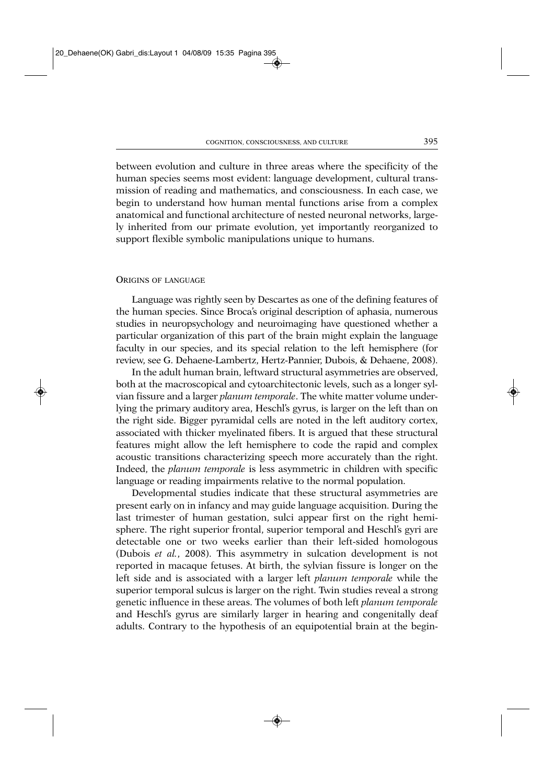between evolution and culture in three areas where the specificity of the human species seems most evident: language development, cultural transmission of reading and mathematics, and consciousness. In each case, we begin to understand how human mental functions arise from a complex anatomical and functional architecture of nested neuronal networks, largely inherited from our primate evolution, yet importantly reorganized to support flexible symbolic manipulations unique to humans.

## ORIGINS OF LANGUAGE

Language was rightly seen by Descartes as one of the defining features of the human species. Since Broca's original description of aphasia, numerous studies in neuropsychology and neuroimaging have questioned whether a particular organization of this part of the brain might explain the language faculty in our species, and its special relation to the left hemisphere (for review, see G. Dehaene-Lambertz, Hertz-Pannier, Dubois, & Dehaene, 2008).

In the adult human brain, leftward structural asymmetries are observed, both at the macroscopical and cytoarchitectonic levels, such as a longer sylvian fissure and a larger *planum temporale*. The white matter volume underlying the primary auditory area, Heschl's gyrus, is larger on the left than on the right side. Bigger pyramidal cells are noted in the left auditory cortex, associated with thicker myelinated fibers. It is argued that these structural features might allow the left hemisphere to code the rapid and complex acoustic transitions characterizing speech more accurately than the right. Indeed, the *planum temporale* is less asymmetric in children with specific language or reading impairments relative to the normal population.

Developmental studies indicate that these structural asymmetries are present early on in infancy and may guide language acquisition. During the last trimester of human gestation, sulci appear first on the right hemisphere. The right superior frontal, superior temporal and Heschl's gyri are detectable one or two weeks earlier than their left-sided homologous (Dubois *et al.*, 2008). This asymmetry in sulcation development is not reported in macaque fetuses. At birth, the sylvian fissure is longer on the left side and is associated with a larger left *planum temporale* while the superior temporal sulcus is larger on the right. Twin studies reveal a strong genetic influence in these areas. The volumes of both left *planum temporale* and Heschl's gyrus are similarly larger in hearing and congenitally deaf adults. Contrary to the hypothesis of an equipotential brain at the begin-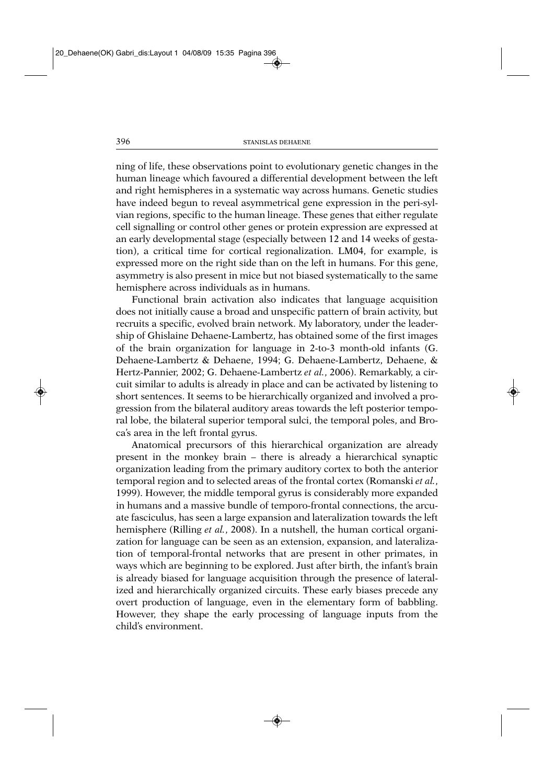ning of life, these observations point to evolutionary genetic changes in the human lineage which favoured a differential development between the left and right hemispheres in a systematic way across humans. Genetic studies have indeed begun to reveal asymmetrical gene expression in the peri-sylvian regions, specific to the human lineage. These genes that either regulate cell signalling or control other genes or protein expression are expressed at an early developmental stage (especially between 12 and 14 weeks of gestation), a critical time for cortical regionalization. LM04, for example, is expressed more on the right side than on the left in humans. For this gene, asymmetry is also present in mice but not biased systematically to the same hemisphere across individuals as in humans.

Functional brain activation also indicates that language acquisition does not initially cause a broad and unspecific pattern of brain activity, but recruits a specific, evolved brain network. My laboratory, under the leadership of Ghislaine Dehaene-Lambertz, has obtained some of the first images of the brain organization for language in 2-to-3 month-old infants (G. Dehaene-Lambertz & Dehaene, 1994; G. Dehaene-Lambertz, Dehaene, & Hertz-Pannier, 2002; G. Dehaene-Lambertz *et al.*, 2006). Remarkably, a circuit similar to adults is already in place and can be activated by listening to short sentences. It seems to be hierarchically organized and involved a progression from the bilateral auditory areas towards the left posterior temporal lobe, the bilateral superior temporal sulci, the temporal poles, and Broca's area in the left frontal gyrus.

Anatomical precursors of this hierarchical organization are already present in the monkey brain – there is already a hierarchical synaptic organization leading from the primary auditory cortex to both the anterior temporal region and to selected areas of the frontal cortex (Romanski *et al.*, 1999). However, the middle temporal gyrus is considerably more expanded in humans and a massive bundle of temporo-frontal connections, the arcuate fasciculus, has seen a large expansion and lateralization towards the left hemisphere (Rilling *et al.*, 2008). In a nutshell, the human cortical organization for language can be seen as an extension, expansion, and lateralization of temporal-frontal networks that are present in other primates, in ways which are beginning to be explored. Just after birth, the infant's brain is already biased for language acquisition through the presence of lateralized and hierarchically organized circuits. These early biases precede any overt production of language, even in the elementary form of babbling. However, they shape the early processing of language inputs from the child's environment.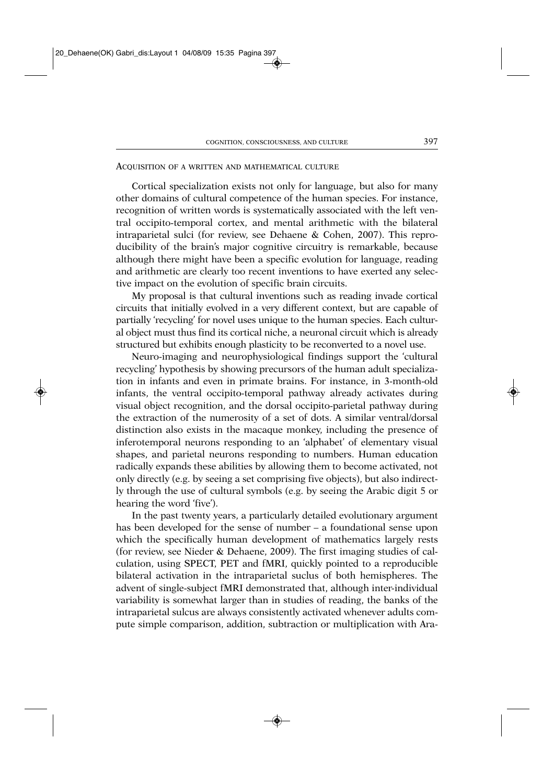## ACQUISITION OF A WRITTEN AND MATHEMATICAL CULTURE

Cortical specialization exists not only for language, but also for many other domains of cultural competence of the human species. For instance, recognition of written words is systematically associated with the left ventral occipito-temporal cortex, and mental arithmetic with the bilateral intraparietal sulci (for review, see Dehaene & Cohen, 2007). This reproducibility of the brain's major cognitive circuitry is remarkable, because although there might have been a specific evolution for language, reading and arithmetic are clearly too recent inventions to have exerted any selective impact on the evolution of specific brain circuits.

My proposal is that cultural inventions such as reading invade cortical circuits that initially evolved in a very different context, but are capable of partially 'recycling' for novel uses unique to the human species. Each cultural object must thus find its cortical niche, a neuronal circuit which is already structured but exhibits enough plasticity to be reconverted to a novel use.

Neuro-imaging and neurophysiological findings support the 'cultural recycling' hypothesis by showing precursors of the human adult specialization in infants and even in primate brains. For instance, in 3-month-old infants, the ventral occipito-temporal pathway already activates during visual object recognition, and the dorsal occipito-parietal pathway during the extraction of the numerosity of a set of dots. A similar ventral/dorsal distinction also exists in the macaque monkey, including the presence of inferotemporal neurons responding to an 'alphabet' of elementary visual shapes, and parietal neurons responding to numbers. Human education radically expands these abilities by allowing them to become activated, not only directly (e.g. by seeing a set comprising five objects), but also indirectly through the use of cultural symbols (e.g. by seeing the Arabic digit 5 or hearing the word 'five').

In the past twenty years, a particularly detailed evolutionary argument has been developed for the sense of number – a foundational sense upon which the specifically human development of mathematics largely rests (for review, see Nieder & Dehaene, 2009). The first imaging studies of calculation, using SPECT, PET and fMRI, quickly pointed to a reproducible bilateral activation in the intraparietal suclus of both hemispheres. The advent of single-subject fMRI demonstrated that, although inter-individual variability is somewhat larger than in studies of reading, the banks of the intraparietal sulcus are always consistently activated whenever adults compute simple comparison, addition, subtraction or multiplication with Ara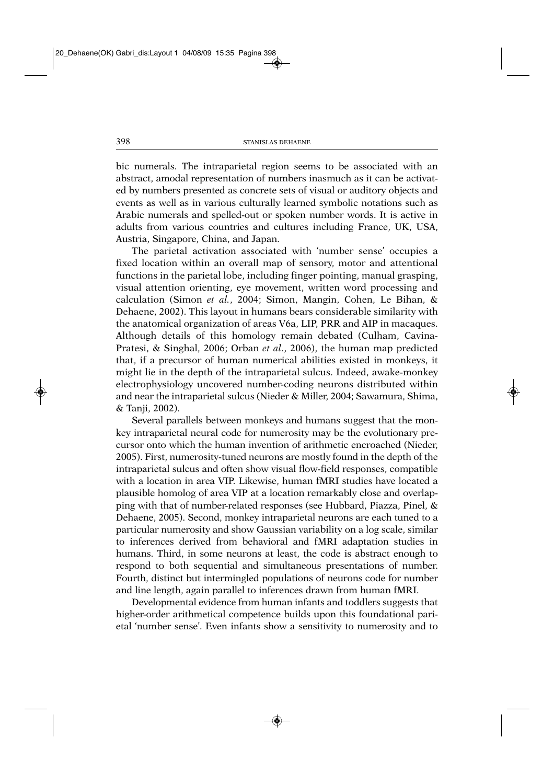bic numerals. The intraparietal region seems to be associated with an abstract, amodal representation of numbers inasmuch as it can be activated by numbers presented as concrete sets of visual or auditory objects and events as well as in various culturally learned symbolic notations such as Arabic numerals and spelled-out or spoken number words. It is active in adults from various countries and cultures including France, UK, USA, Austria, Singapore, China, and Japan.

The parietal activation associated with 'number sense' occupies a fixed location within an overall map of sensory, motor and attentional functions in the parietal lobe, including finger pointing, manual grasping, visual attention orienting, eye movement, written word processing and calculation (Simon *et al.*, 2004; Simon, Mangin, Cohen, Le Bihan, & Dehaene, 2002). This layout in humans bears considerable similarity with the anatomical organization of areas V6a, LIP, PRR and AIP in macaques. Although details of this homology remain debated (Culham, Cavina-Pratesi, & Singhal, 2006; Orban *et al*., 2006), the human map predicted that, if a precursor of human numerical abilities existed in monkeys, it might lie in the depth of the intraparietal sulcus. Indeed, awake-monkey electrophysiology uncovered number-coding neurons distributed within and near the intraparietal sulcus (Nieder & Miller, 2004; Sawamura, Shima, & Tanji, 2002).

Several parallels between monkeys and humans suggest that the monkey intraparietal neural code for numerosity may be the evolutionary precursor onto which the human invention of arithmetic encroached (Nieder, 2005). First, numerosity-tuned neurons are mostly found in the depth of the intraparietal sulcus and often show visual flow-field responses, compatible with a location in area VIP. Likewise, human fMRI studies have located a plausible homolog of area VIP at a location remarkably close and overlapping with that of number-related responses (see Hubbard, Piazza, Pinel, & Dehaene, 2005). Second, monkey intraparietal neurons are each tuned to a particular numerosity and show Gaussian variability on a log scale, similar to inferences derived from behavioral and fMRI adaptation studies in humans. Third, in some neurons at least, the code is abstract enough to respond to both sequential and simultaneous presentations of number. Fourth, distinct but intermingled populations of neurons code for number and line length, again parallel to inferences drawn from human fMRI.

Developmental evidence from human infants and toddlers suggests that higher-order arithmetical competence builds upon this foundational parietal 'number sense'. Even infants show a sensitivity to numerosity and to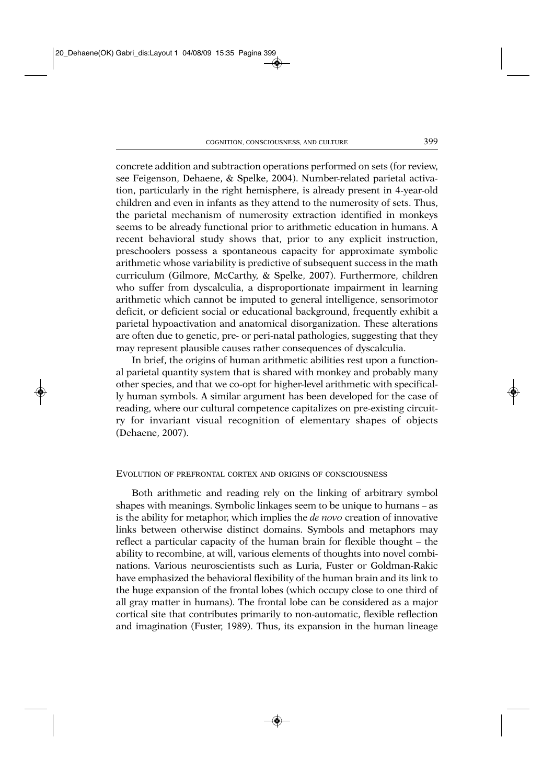concrete addition and subtraction operations performed on sets (for review, see Feigenson, Dehaene, & Spelke, 2004). Number-related parietal activation, particularly in the right hemisphere, is already present in 4-year-old children and even in infants as they attend to the numerosity of sets. Thus, the parietal mechanism of numerosity extraction identified in monkeys seems to be already functional prior to arithmetic education in humans. A recent behavioral study shows that, prior to any explicit instruction, preschoolers possess a spontaneous capacity for approximate symbolic arithmetic whose variability is predictive of subsequent success in the math curriculum (Gilmore, McCarthy, & Spelke, 2007). Furthermore, children who suffer from dyscalculia, a disproportionate impairment in learning arithmetic which cannot be imputed to general intelligence, sensorimotor deficit, or deficient social or educational background, frequently exhibit a parietal hypoactivation and anatomical disorganization. These alterations are often due to genetic, pre- or peri-natal pathologies, suggesting that they may represent plausible causes rather consequences of dyscalculia.

In brief, the origins of human arithmetic abilities rest upon a functional parietal quantity system that is shared with monkey and probably many other species, and that we co-opt for higher-level arithmetic with specifically human symbols. A similar argument has been developed for the case of reading, where our cultural competence capitalizes on pre-existing circuitry for invariant visual recognition of elementary shapes of objects (Dehaene, 2007).

#### EVOLUTION OF PREFRONTAL CORTEX AND ORIGINS OF CONSCIOUSNESS

Both arithmetic and reading rely on the linking of arbitrary symbol shapes with meanings. Symbolic linkages seem to be unique to humans – as is the ability for metaphor, which implies the *de novo* creation of innovative links between otherwise distinct domains. Symbols and metaphors may reflect a particular capacity of the human brain for flexible thought – the ability to recombine, at will, various elements of thoughts into novel combinations. Various neuroscientists such as Luria, Fuster or Goldman-Rakic have emphasized the behavioral flexibility of the human brain and its link to the huge expansion of the frontal lobes (which occupy close to one third of all gray matter in humans). The frontal lobe can be considered as a major cortical site that contributes primarily to non-automatic, flexible reflection and imagination (Fuster, 1989). Thus, its expansion in the human lineage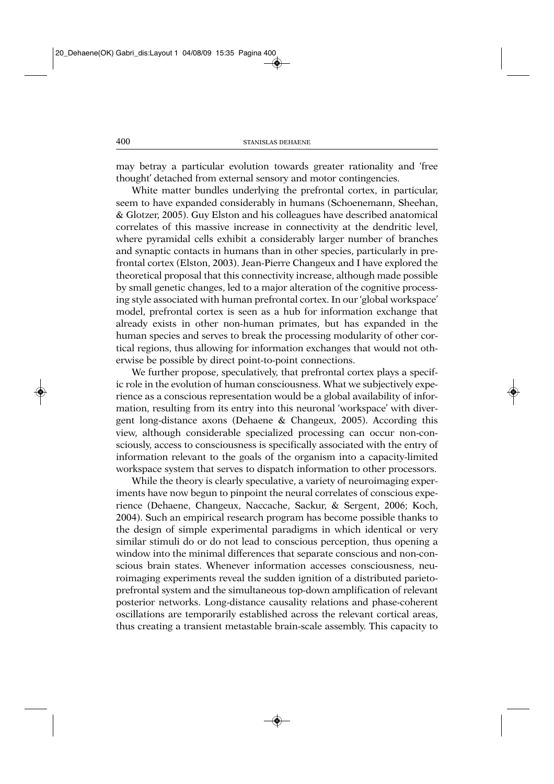may betray a particular evolution towards greater rationality and 'free thought' detached from external sensory and motor contingencies.

White matter bundles underlying the prefrontal cortex, in particular, seem to have expanded considerably in humans (Schoenemann, Sheehan, & Glotzer, 2005). Guy Elston and his colleagues have described anatomical correlates of this massive increase in connectivity at the dendritic level, where pyramidal cells exhibit a considerably larger number of branches and synaptic contacts in humans than in other species, particularly in prefrontal cortex (Elston, 2003). Jean-Pierre Changeux and I have explored the theoretical proposal that this connectivity increase, although made possible by small genetic changes, led to a major alteration of the cognitive processing style associated with human prefrontal cortex. In our 'global workspace' model, prefrontal cortex is seen as a hub for information exchange that already exists in other non-human primates, but has expanded in the human species and serves to break the processing modularity of other cortical regions, thus allowing for information exchanges that would not otherwise be possible by direct point-to-point connections.

We further propose, speculatively, that prefrontal cortex plays a specific role in the evolution of human consciousness. What we subjectively experience as a conscious representation would be a global availability of information, resulting from its entry into this neuronal 'workspace' with divergent long-distance axons (Dehaene & Changeux, 2005). According this view, although considerable specialized processing can occur non-consciously, access to consciousness is specifically associated with the entry of information relevant to the goals of the organism into a capacity-limited workspace system that serves to dispatch information to other processors.

While the theory is clearly speculative, a variety of neuroimaging experiments have now begun to pinpoint the neural correlates of conscious experience (Dehaene, Changeux, Naccache, Sackur, & Sergent, 2006; Koch, 2004). Such an empirical research program has become possible thanks to the design of simple experimental paradigms in which identical or very similar stimuli do or do not lead to conscious perception, thus opening a window into the minimal differences that separate conscious and non-conscious brain states. Whenever information accesses consciousness, neuroimaging experiments reveal the sudden ignition of a distributed parietoprefrontal system and the simultaneous top-down amplification of relevant posterior networks. Long-distance causality relations and phase-coherent oscillations are temporarily established across the relevant cortical areas, thus creating a transient metastable brain-scale assembly. This capacity to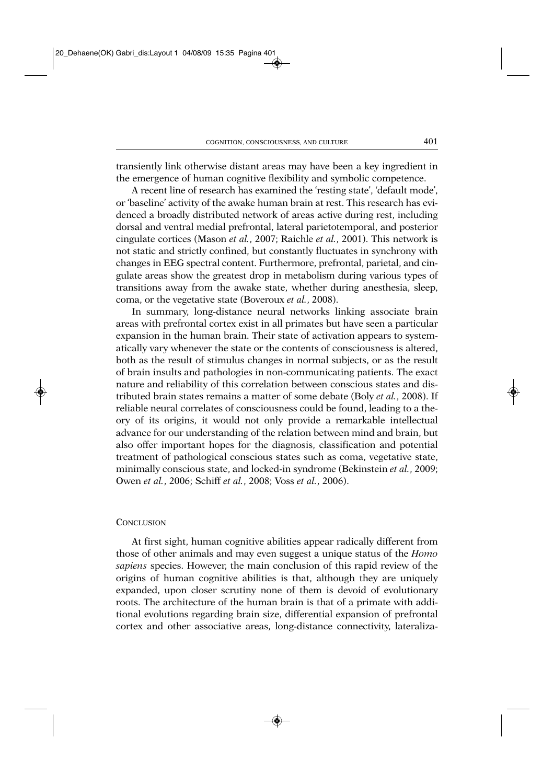transiently link otherwise distant areas may have been a key ingredient in the emergence of human cognitive flexibility and symbolic competence.

A recent line of research has examined the 'resting state', 'default mode', or 'baseline' activity of the awake human brain at rest. This research has evidenced a broadly distributed network of areas active during rest, including dorsal and ventral medial prefrontal, lateral parietotemporal, and posterior cingulate cortices (Mason *et al.*, 2007; Raichle *et al.*, 2001). This network is not static and strictly confined, but constantly fluctuates in synchrony with changes in EEG spectral content. Furthermore, prefrontal, parietal, and cingulate areas show the greatest drop in metabolism during various types of transitions away from the awake state, whether during anesthesia, sleep, coma, or the vegetative state (Boveroux *et al.*, 2008).

In summary, long-distance neural networks linking associate brain areas with prefrontal cortex exist in all primates but have seen a particular expansion in the human brain. Their state of activation appears to systematically vary whenever the state or the contents of consciousness is altered, both as the result of stimulus changes in normal subjects, or as the result of brain insults and pathologies in non-communicating patients. The exact nature and reliability of this correlation between conscious states and distributed brain states remains a matter of some debate (Boly *et al.*, 2008). If reliable neural correlates of consciousness could be found, leading to a theory of its origins, it would not only provide a remarkable intellectual advance for our understanding of the relation between mind and brain, but also offer important hopes for the diagnosis, classification and potential treatment of pathological conscious states such as coma, vegetative state, minimally conscious state, and locked-in syndrome (Bekinstein *et al.*, 2009; Owen *et al.*, 2006; Schiff *et al.*, 2008; Voss *et al.*, 2006).

#### **CONCLUSION**

At first sight, human cognitive abilities appear radically different from those of other animals and may even suggest a unique status of the *Homo sapiens* species. However, the main conclusion of this rapid review of the origins of human cognitive abilities is that, although they are uniquely expanded, upon closer scrutiny none of them is devoid of evolutionary roots. The architecture of the human brain is that of a primate with additional evolutions regarding brain size, differential expansion of prefrontal cortex and other associative areas, long-distance connectivity, lateraliza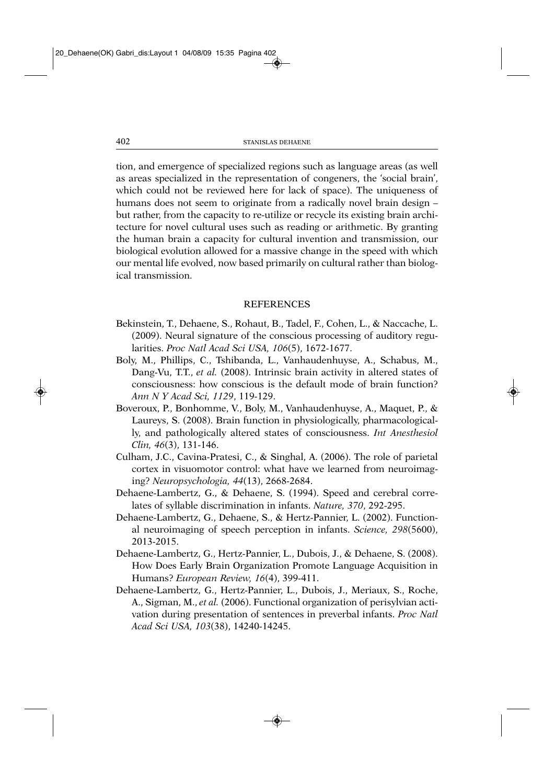tion, and emergence of specialized regions such as language areas (as well as areas specialized in the representation of congeners, the 'social brain', which could not be reviewed here for lack of space). The uniqueness of humans does not seem to originate from a radically novel brain design – but rather, from the capacity to re-utilize or recycle its existing brain architecture for novel cultural uses such as reading or arithmetic. By granting the human brain a capacity for cultural invention and transmission, our biological evolution allowed for a massive change in the speed with which our mental life evolved, now based primarily on cultural rather than biological transmission.

## REFERENCES

- Bekinstein, T., Dehaene, S., Rohaut, B., Tadel, F., Cohen, L., & Naccache, L. (2009). Neural signature of the conscious processing of auditory regularities. *Proc Natl Acad Sci USA, 106*(5), 1672-1677.
- Boly, M., Phillips, C., Tshibanda, L., Vanhaudenhuyse, A., Schabus, M., Dang-Vu, T.T., *et al.* (2008). Intrinsic brain activity in altered states of consciousness: how conscious is the default mode of brain function? *Ann N Y Acad Sci, 1129*, 119-129.
- Boveroux, P., Bonhomme, V., Boly, M., Vanhaudenhuyse, A., Maquet, P., & Laureys, S. (2008). Brain function in physiologically, pharmacologically, and pathologically altered states of consciousness. *Int Anesthesiol Clin, 46*(3), 131-146.
- Culham, J.C., Cavina-Pratesi, C., & Singhal, A. (2006). The role of parietal cortex in visuomotor control: what have we learned from neuroimaging? *Neuropsychologia, 44*(13), 2668-2684.
- Dehaene-Lambertz, G., & Dehaene, S. (1994). Speed and cerebral correlates of syllable discrimination in infants. *Nature, 370*, 292-295.
- Dehaene-Lambertz, G., Dehaene, S., & Hertz-Pannier, L. (2002). Functional neuroimaging of speech perception in infants. *Science, 298*(5600), 2013-2015.
- Dehaene-Lambertz, G., Hertz-Pannier, L., Dubois, J., & Dehaene, S. (2008). How Does Early Brain Organization Promote Language Acquisition in Humans? *European Review, 16*(4), 399-411.
- Dehaene-Lambertz, G., Hertz-Pannier, L., Dubois, J., Meriaux, S., Roche, A., Sigman, M., *et al.* (2006). Functional organization of perisylvian activation during presentation of sentences in preverbal infants. *Proc Natl Acad Sci USA, 103*(38), 14240-14245.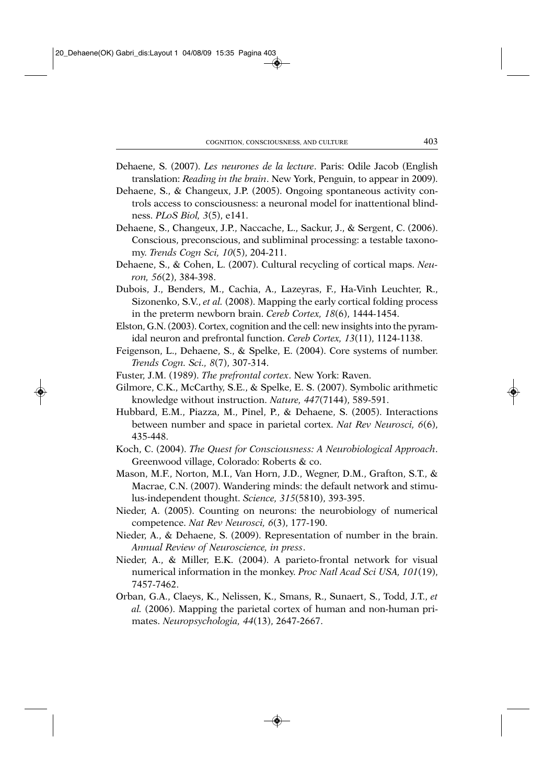- Dehaene, S. (2007). *Les neurones de la lecture*. Paris: Odile Jacob (English translation: *Reading in the brain*. New York, Penguin, to appear in 2009).
- Dehaene, S., & Changeux, J.P. (2005). Ongoing spontaneous activity controls access to consciousness: a neuronal model for inattentional blindness. *PLoS Biol, 3*(5), e141.
- Dehaene, S., Changeux, J.P., Naccache, L., Sackur, J., & Sergent, C. (2006). Conscious, preconscious, and subliminal processing: a testable taxonomy. *Trends Cogn Sci, 10*(5), 204-211.
- Dehaene, S., & Cohen, L. (2007). Cultural recycling of cortical maps. *Neuron, 56*(2), 384-398.
- Dubois, J., Benders, M., Cachia, A., Lazeyras, F., Ha-Vinh Leuchter, R., Sizonenko, S.V., *et al.* (2008). Mapping the early cortical folding process in the preterm newborn brain. *Cereb Cortex, 18*(6), 1444-1454.
- Elston, G.N. (2003). Cortex, cognition and the cell: new insights into the pyramidal neuron and prefrontal function. *Cereb Cortex, 13*(11), 1124-1138.
- Feigenson, L., Dehaene, S., & Spelke, E. (2004). Core systems of number. *Trends Cogn. Sci., 8*(7), 307-314.
- Fuster, J.M. (1989). *The prefrontal cortex*. New York: Raven.
- Gilmore, C.K., McCarthy, S.E., & Spelke, E. S. (2007). Symbolic arithmetic knowledge without instruction. *Nature, 447*(7144), 589-591.
- Hubbard, E.M., Piazza, M., Pinel, P., & Dehaene, S. (2005). Interactions between number and space in parietal cortex. *Nat Rev Neurosci, 6*(6), 435-448.
- Koch, C. (2004). *The Quest for Consciousness: A Neurobiological Approach*. Greenwood village, Colorado: Roberts & co.
- Mason, M.F., Norton, M.I., Van Horn, J.D., Wegner, D.M., Grafton, S.T., & Macrae, C.N. (2007). Wandering minds: the default network and stimulus-independent thought. *Science, 315*(5810), 393-395.
- Nieder, A. (2005). Counting on neurons: the neurobiology of numerical competence. *Nat Rev Neurosci, 6*(3), 177-190.
- Nieder, A., & Dehaene, S. (2009). Representation of number in the brain. *Annual Review of Neuroscience, in press*.
- Nieder, A., & Miller, E.K. (2004). A parieto-frontal network for visual numerical information in the monkey. *Proc Natl Acad Sci USA, 101*(19), 7457-7462.
- Orban, G.A., Claeys, K., Nelissen, K., Smans, R., Sunaert, S., Todd, J.T., *et al.* (2006). Mapping the parietal cortex of human and non-human primates. *Neuropsychologia, 44*(13), 2647-2667.